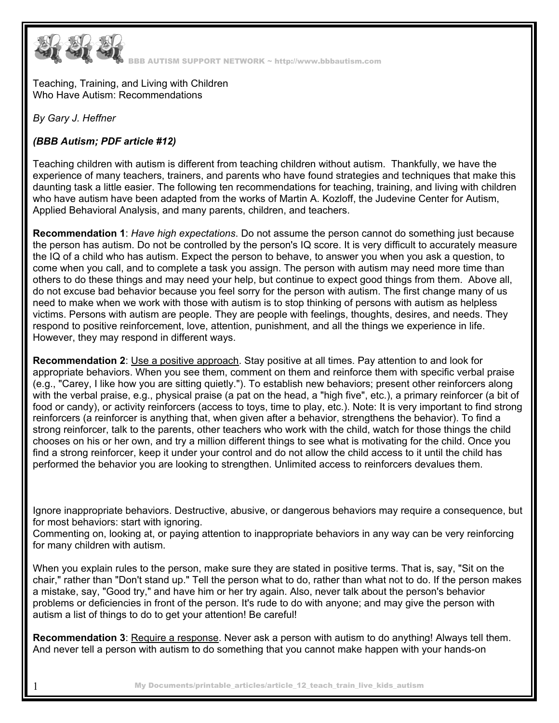

Teaching, Training, and Living with Children Who Have Autism: Recommendations

*By Gary J. Heffner* 

## *(BBB Autism; PDF article #12)*

Teaching children with autism is different from teaching children without autism. Thankfully, we have the experience of many teachers, trainers, and parents who have found strategies and techniques that make this daunting task a little easier. The following ten recommendations for teaching, training, and living with children who have autism have been adapted from the works of Martin A. Kozloff, the Judevine Center for Autism, Applied Behavioral Analysis, and many parents, children, and teachers.

**Recommendation 1**: *Have high expectations*. Do not assume the person cannot do something just because the person has autism. Do not be controlled by the person's IQ score. It is very difficult to accurately measure the IQ of a child who has autism. Expect the person to behave, to answer you when you ask a question, to come when you call, and to complete a task you assign. The person with autism may need more time than others to do these things and may need your help, but continue to expect good things from them. Above all, do not excuse bad behavior because you feel sorry for the person with autism. The first change many of us need to make when we work with those with autism is to stop thinking of persons with autism as helpless victims. Persons with autism are people. They are people with feelings, thoughts, desires, and needs. They respond to positive reinforcement, love, attention, punishment, and all the things we experience in life. However, they may respond in different ways.

**Recommendation 2**: Use a positive approach. Stay positive at all times. Pay attention to and look for appropriate behaviors. When you see them, comment on them and reinforce them with specific verbal praise (e.g., "Carey, I like how you are sitting quietly."). To establish new behaviors; present other reinforcers along with the verbal praise, e.g., physical praise (a pat on the head, a "high five", etc.), a primary reinforcer (a bit of food or candy), or activity reinforcers (access to toys, time to play, etc.). Note: It is very important to find strong reinforcers (a reinforcer is anything that, when given after a behavior, strengthens the behavior). To find a strong reinforcer, talk to the parents, other teachers who work with the child, watch for those things the child chooses on his or her own, and try a million different things to see what is motivating for the child. Once you find a strong reinforcer, keep it under your control and do not allow the child access to it until the child has performed the behavior you are looking to strengthen. Unlimited access to reinforcers devalues them.

Ignore inappropriate behaviors. Destructive, abusive, or dangerous behaviors may require a consequence, but for most behaviors: start with ignoring.

Commenting on, looking at, or paying attention to inappropriate behaviors in any way can be very reinforcing for many children with autism.

When you explain rules to the person, make sure they are stated in positive terms. That is, say, "Sit on the chair," rather than "Don't stand up." Tell the person what to do, rather than what not to do. If the person makes a mistake, say, "Good try," and have him or her try again. Also, never talk about the person's behavior problems or deficiencies in front of the person. It's rude to do with anyone; and may give the person with autism a list of things to do to get your attention! Be careful!

**Recommendation 3**: Require a response. Never ask a person with autism to do anything! Always tell them. And never tell a person with autism to do something that you cannot make happen with your hands-on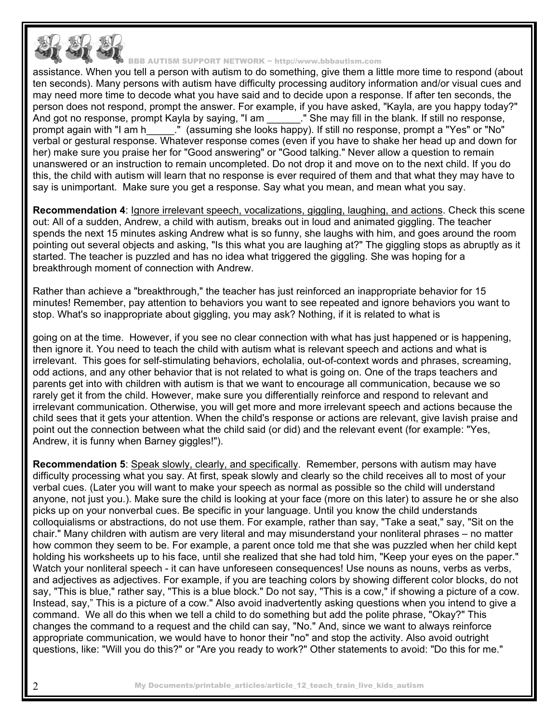

assistance. When you tell a person with autism to do something, give them a little more time to respond (about ten seconds). Many persons with autism have difficulty processing auditory information and/or visual cues and may need more time to decode what you have said and to decide upon a response. If after ten seconds, the person does not respond, prompt the answer. For example, if you have asked, "Kayla, are you happy today?" And got no response, prompt Kayla by saying, "I am \_\_\_\_\_\_\_." She may fill in the blank. If still no response, prompt again with "I am h\_\_\_\_\_." (assuming she looks happy). If still no response, prompt a "Yes" or "No" verbal or gestural response. Whatever response comes (even if you have to shake her head up and down for her) make sure you praise her for "Good answering" or "Good talking." Never allow a question to remain unanswered or an instruction to remain uncompleted. Do not drop it and move on to the next child. If you do this, the child with autism will learn that no response is ever required of them and that what they may have to say is unimportant. Make sure you get a response. Say what you mean, and mean what you say.

**Recommendation 4**: Ignore irrelevant speech, vocalizations, giggling, laughing, and actions. Check this scene out: All of a sudden, Andrew, a child with autism, breaks out in loud and animated giggling. The teacher spends the next 15 minutes asking Andrew what is so funny, she laughs with him, and goes around the room pointing out several objects and asking, "Is this what you are laughing at?" The giggling stops as abruptly as it started. The teacher is puzzled and has no idea what triggered the giggling. She was hoping for a breakthrough moment of connection with Andrew.

Rather than achieve a "breakthrough," the teacher has just reinforced an inappropriate behavior for 15 minutes! Remember, pay attention to behaviors you want to see repeated and ignore behaviors you want to stop. What's so inappropriate about giggling, you may ask? Nothing, if it is related to what is

going on at the time. However, if you see no clear connection with what has just happened or is happening, then ignore it. You need to teach the child with autism what is relevant speech and actions and what is irrelevant. This goes for self-stimulating behaviors, echolalia, out-of-context words and phrases, screaming, odd actions, and any other behavior that is not related to what is going on. One of the traps teachers and parents get into with children with autism is that we want to encourage all communication, because we so rarely get it from the child. However, make sure you differentially reinforce and respond to relevant and irrelevant communication. Otherwise, you will get more and more irrelevant speech and actions because the child sees that it gets your attention. When the child's response or actions are relevant, give lavish praise and point out the connection between what the child said (or did) and the relevant event (for example: "Yes, Andrew, it is funny when Barney giggles!").

**Recommendation 5**: Speak slowly, clearly, and specifically. Remember, persons with autism may have difficulty processing what you say. At first, speak slowly and clearly so the child receives all to most of your verbal cues. (Later you will want to make your speech as normal as possible so the child will understand anyone, not just you.). Make sure the child is looking at your face (more on this later) to assure he or she also picks up on your nonverbal cues. Be specific in your language. Until you know the child understands colloquialisms or abstractions, do not use them. For example, rather than say, "Take a seat," say, "Sit on the chair." Many children with autism are very literal and may misunderstand your nonliteral phrases – no matter how common they seem to be. For example, a parent once told me that she was puzzled when her child kept holding his worksheets up to his face, until she realized that she had told him, "Keep your eyes on the paper." Watch your nonliteral speech - it can have unforeseen consequences! Use nouns as nouns, verbs as verbs, and adjectives as adjectives. For example, if you are teaching colors by showing different color blocks, do not say, "This is blue," rather say, "This is a blue block." Do not say, "This is a cow," if showing a picture of a cow. Instead, say," This is a picture of a cow." Also avoid inadvertently asking questions when you intend to give a command. We all do this when we tell a child to do something but add the polite phrase, "Okay?" This changes the command to a request and the child can say, "No." And, since we want to always reinforce appropriate communication, we would have to honor their "no" and stop the activity. Also avoid outright questions, like: "Will you do this?" or "Are you ready to work?" Other statements to avoid: "Do this for me."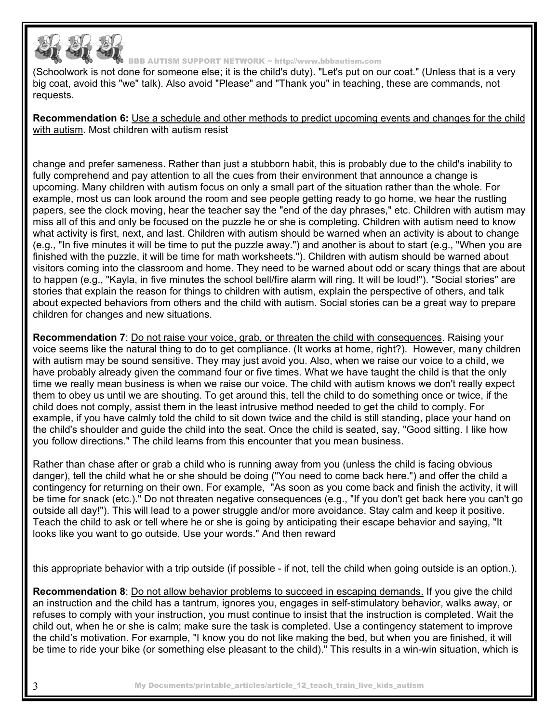

(Schoolwork is not done for someone else; it is the child's duty). "Let's put on our coat." (Unless that is a very big coat, avoid this "we" talk). Also avoid "Please" and "Thank you" in teaching, these are commands, not requests.

**Recommendation 6:** Use a schedule and other methods to predict upcoming events and changes for the child with autism. Most children with autism resist

change and prefer sameness. Rather than just a stubborn habit, this is probably due to the child's inability to fully comprehend and pay attention to all the cues from their environment that announce a change is upcoming. Many children with autism focus on only a small part of the situation rather than the whole. For example, most us can look around the room and see people getting ready to go home, we hear the rustling papers, see the clock moving, hear the teacher say the "end of the day phrases," etc. Children with autism may miss all of this and only be focused on the puzzle he or she is completing. Children with autism need to know what activity is first, next, and last. Children with autism should be warned when an activity is about to change (e.g., "In five minutes it will be time to put the puzzle away.") and another is about to start (e.g., "When you are finished with the puzzle, it will be time for math worksheets."). Children with autism should be warned about visitors coming into the classroom and home. They need to be warned about odd or scary things that are about to happen (e.g., "Kayla, in five minutes the school bell/fire alarm will ring. It will be loud!"). "Social stories" are stories that explain the reason for things to children with autism, explain the perspective of others, and talk about expected behaviors from others and the child with autism. Social stories can be a great way to prepare children for changes and new situations.

**Recommendation 7**: Do not raise your voice, grab, or threaten the child with consequences. Raising your voice seems like the natural thing to do to get compliance. (It works at home, right?). However, many children with autism may be sound sensitive. They may just avoid you. Also, when we raise our voice to a child, we have probably already given the command four or five times. What we have taught the child is that the only time we really mean business is when we raise our voice. The child with autism knows we don't really expect them to obey us until we are shouting. To get around this, tell the child to do something once or twice, if the child does not comply, assist them in the least intrusive method needed to get the child to comply. For example, if you have calmly told the child to sit down twice and the child is still standing, place your hand on the child's shoulder and guide the child into the seat. Once the child is seated, say, "Good sitting. I like how you follow directions." The child learns from this encounter that you mean business.

Rather than chase after or grab a child who is running away from you (unless the child is facing obvious danger), tell the child what he or she should be doing ("You need to come back here.") and offer the child a contingency for returning on their own. For example, "As soon as you come back and finish the activity, it will be time for snack (etc.)." Do not threaten negative consequences (e.g., "If you don't get back here you can't go outside all day!"). This will lead to a power struggle and/or more avoidance. Stay calm and keep it positive. Teach the child to ask or tell where he or she is going by anticipating their escape behavior and saying, "It looks like you want to go outside. Use your words." And then reward

this appropriate behavior with a trip outside (if possible - if not, tell the child when going outside is an option.).

**Recommendation 8**: Do not allow behavior problems to succeed in escaping demands. If you give the child an instruction and the child has a tantrum, ignores you, engages in self-stimulatory behavior, walks away, or refuses to comply with your instruction, you must continue to insist that the instruction is completed. Wait the child out, when he or she is calm; make sure the task is completed. Use a contingency statement to improve the child's motivation. For example, "I know you do not like making the bed, but when you are finished, it will be time to ride your bike (or something else pleasant to the child)." This results in a win-win situation, which is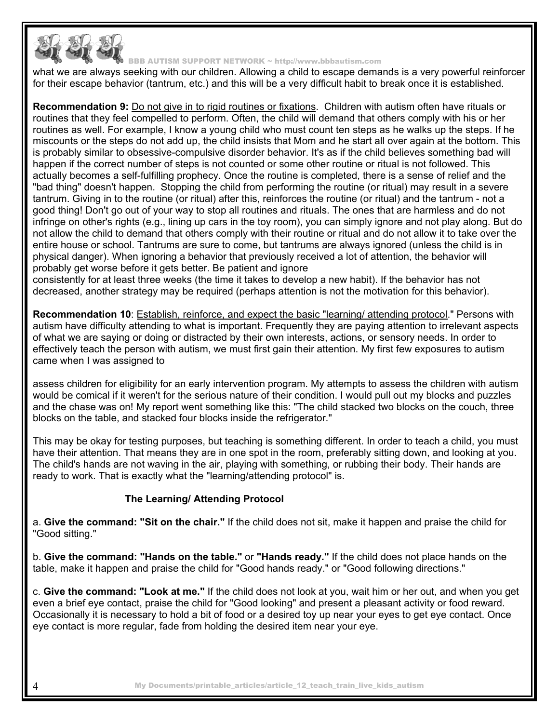

what we are always seeking with our children. Allowing a child to escape demands is a very powerful reinforcer for their escape behavior (tantrum, etc.) and this will be a very difficult habit to break once it is established.

**Recommendation 9:** Do not give in to rigid routines or fixations. Children with autism often have rituals or routines that they feel compelled to perform. Often, the child will demand that others comply with his or her routines as well. For example, I know a young child who must count ten steps as he walks up the steps. If he miscounts or the steps do not add up, the child insists that Mom and he start all over again at the bottom. This is probably similar to obsessive-compulsive disorder behavior. It's as if the child believes something bad will happen if the correct number of steps is not counted or some other routine or ritual is not followed. This actually becomes a self-fulfilling prophecy. Once the routine is completed, there is a sense of relief and the "bad thing" doesn't happen. Stopping the child from performing the routine (or ritual) may result in a severe tantrum. Giving in to the routine (or ritual) after this, reinforces the routine (or ritual) and the tantrum - not a good thing! Don't go out of your way to stop all routines and rituals. The ones that are harmless and do not infringe on other's rights (e.g., lining up cars in the toy room), you can simply ignore and not play along. But do not allow the child to demand that others comply with their routine or ritual and do not allow it to take over the entire house or school. Tantrums are sure to come, but tantrums are always ignored (unless the child is in physical danger). When ignoring a behavior that previously received a lot of attention, the behavior will probably get worse before it gets better. Be patient and ignore

consistently for at least three weeks (the time it takes to develop a new habit). If the behavior has not decreased, another strategy may be required (perhaps attention is not the motivation for this behavior).

**Recommendation 10**: Establish, reinforce, and expect the basic "learning/ attending protocol." Persons with autism have difficulty attending to what is important. Frequently they are paying attention to irrelevant aspects of what we are saying or doing or distracted by their own interests, actions, or sensory needs. In order to effectively teach the person with autism, we must first gain their attention. My first few exposures to autism came when I was assigned to

assess children for eligibility for an early intervention program. My attempts to assess the children with autism would be comical if it weren't for the serious nature of their condition. I would pull out my blocks and puzzles and the chase was on! My report went something like this: "The child stacked two blocks on the couch, three blocks on the table, and stacked four blocks inside the refrigerator."

This may be okay for testing purposes, but teaching is something different. In order to teach a child, you must have their attention. That means they are in one spot in the room, preferably sitting down, and looking at you. The child's hands are not waving in the air, playing with something, or rubbing their body. Their hands are ready to work. That is exactly what the "learning/attending protocol" is.

## **The Learning/ Attending Protocol**

a. **Give the command: "Sit on the chair."** If the child does not sit, make it happen and praise the child for "Good sitting."

b. **Give the command: "Hands on the table."** or **"Hands ready."** If the child does not place hands on the table, make it happen and praise the child for "Good hands ready." or "Good following directions."

c. **Give the command: "Look at me."** If the child does not look at you, wait him or her out, and when you get even a brief eye contact, praise the child for "Good looking" and present a pleasant activity or food reward. Occasionally it is necessary to hold a bit of food or a desired toy up near your eyes to get eye contact. Once eye contact is more regular, fade from holding the desired item near your eye.